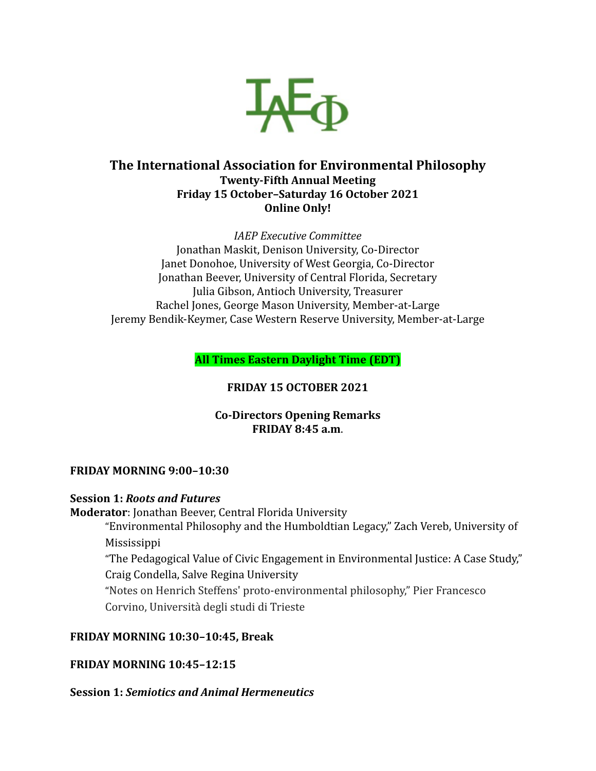

# **The International Association for Environmental Philosophy Twenty-Fifth Annual Meeting Friday 15 October–Saturday 16 October 2021 Online Only!**

*IAEP Executive Committee* Jonathan Maskit, Denison University, Co-Director Janet Donohoe, University of West Georgia, Co-Director Jonathan Beever, University of Central Florida, Secretary Julia Gibson, Antioch University, Treasurer Rachel Jones, George Mason University, Member-at-Large Jeremy Bendik-Keymer, Case Western Reserve University, Member-at-Large

**All Times Eastern Daylight Time (EDT)**

# **FRIDAY 15 OCTOBER 2021**

## **Co-Directors Opening Remarks FRIDAY 8:45 a.m**.

## **FRIDAY MORNING 9:00–10:30**

## **Session 1:** *Roots and Futures*

**Moderator**: Jonathan Beever, Central Florida University

"Environmental Philosophy and the Humboldtian Legacy," Zach Vereb, University of Mississippi

"The Pedagogical Value of Civic Engagement in Environmental Justice: A Case Study," Craig Condella, Salve Regina University

"Notes on Henrich Steffens' proto-environmental philosophy," Pier Francesco Corvino, Università degli studi di Trieste

# **FRIDAY MORNING 10:30–10:45, Break**

# **FRIDAY MORNING 10:45–12:15**

## **Session 1:** *Semiotics and Animal Hermeneutics*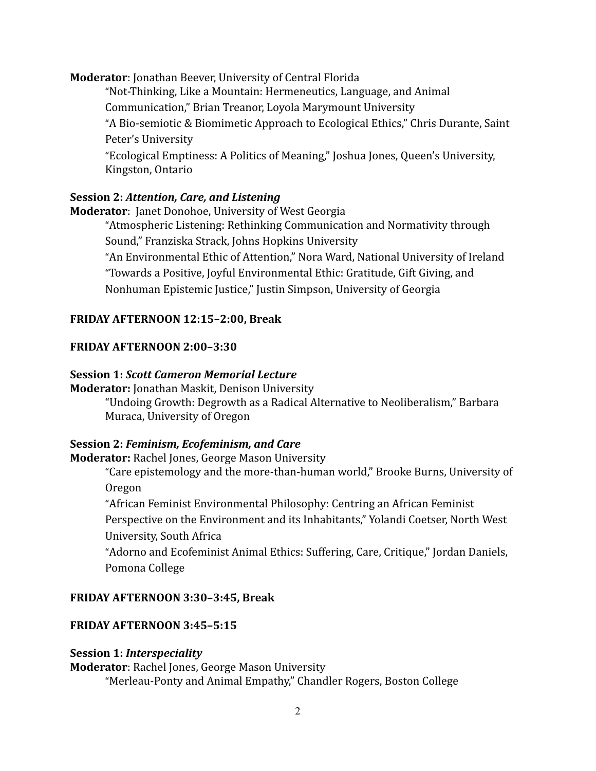**Moderator**: Jonathan Beever, University of Central Florida

"Not-Thinking, Like a Mountain: Hermeneutics, Language, and Animal Communication," Brian Treanor, Loyola Marymount University "A Bio-semiotic & Biomimetic Approach to Ecological Ethics," Chris Durante, Saint Peter's University "Ecological Emptiness: A Politics of Meaning," Joshua Jones, Queen's University,

Kingston, Ontario

#### **Session 2:** *Attention, Care, and Listening*

**Moderator**: Janet Donohoe, University of West Georgia

"Atmospheric Listening: Rethinking Communication and Normativity through Sound," Franziska Strack, Johns Hopkins University

"An Environmental Ethic of Attention," Nora Ward, National University of Ireland "Towards a Positive, Joyful Environmental Ethic: Gratitude, Gift Giving, and Nonhuman Epistemic Justice," Justin Simpson, University of Georgia

#### **FRIDAY AFTERNOON 12:15–2:00, Break**

#### **FRIDAY AFTERNOON 2:00–3:30**

#### **Session 1:** *Scott Cameron Memorial Lecture*

**Moderator:** Jonathan Maskit, Denison University "Undoing Growth: Degrowth as a Radical Alternative to Neoliberalism," Barbara Muraca, University of Oregon

## **Session 2:** *Feminism, Ecofeminism, and Care*

**Moderator:** Rachel Jones, George Mason University

"Care epistemology and the more-than-human world," Brooke Burns, University of Oregon

"African Feminist Environmental Philosophy: Centring an African Feminist Perspective on the Environment and its Inhabitants," Yolandi Coetser, North West University, South Africa

"Adorno and Ecofeminist Animal Ethics: Suffering, Care, Critique," Jordan Daniels, Pomona College

#### **FRIDAY AFTERNOON 3:30–3:45, Break**

## **FRIDAY AFTERNOON 3:45–5:15**

#### **Session 1:** *Interspeciality*

**Moderator**: Rachel Jones, George Mason University "Merleau-Ponty and Animal Empathy," Chandler Rogers, Boston College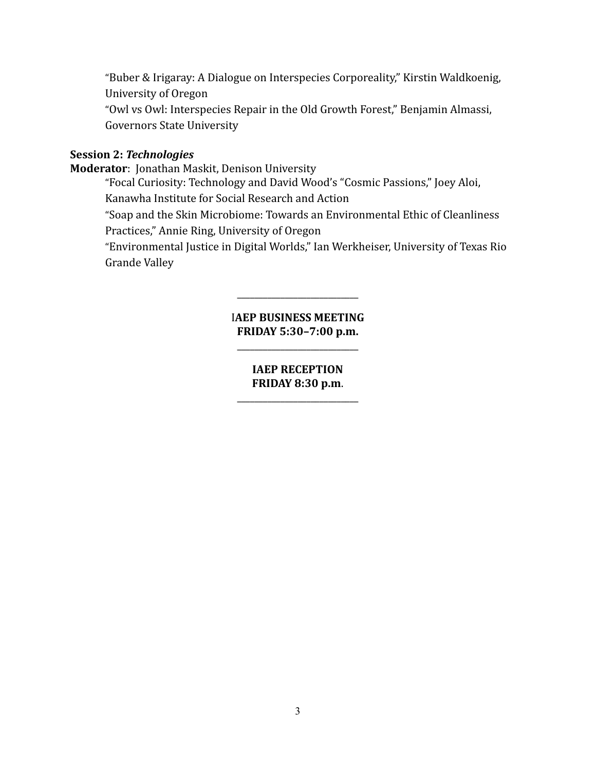"Buber & Irigaray: A Dialogue on Interspecies Corporeality," Kirstin Waldkoenig, University of Oregon

"Owl vs Owl: Interspecies Repair in the Old Growth Forest," Benjamin Almassi, Governors State University

## **Session 2:** *Technologies*

**Moderator**: Jonathan Maskit, Denison University

"Focal Curiosity: Technology and David Wood's "Cosmic Passions," Joey Aloi, Kanawha Institute for Social Research and Action

"Soap and the Skin Microbiome: Towards an Environmental Ethic of Cleanliness Practices," Annie Ring, University of Oregon

"Environmental Justice in Digital Worlds," Ian Werkheiser, University of Texas Rio Grande Valley

## I**AEP BUSINESS MEETING FRIDAY 5:30–7:00 p.m.**

\_\_\_\_\_\_\_\_\_\_\_\_\_\_\_\_\_\_\_\_\_\_\_\_\_\_\_\_

\_\_\_\_\_\_\_\_\_\_\_\_\_\_\_\_\_\_\_\_\_\_\_\_\_\_\_\_

## **IAEP RECEPTION FRIDAY 8:30 p.m**.

\_\_\_\_\_\_\_\_\_\_\_\_\_\_\_\_\_\_\_\_\_\_\_\_\_\_\_\_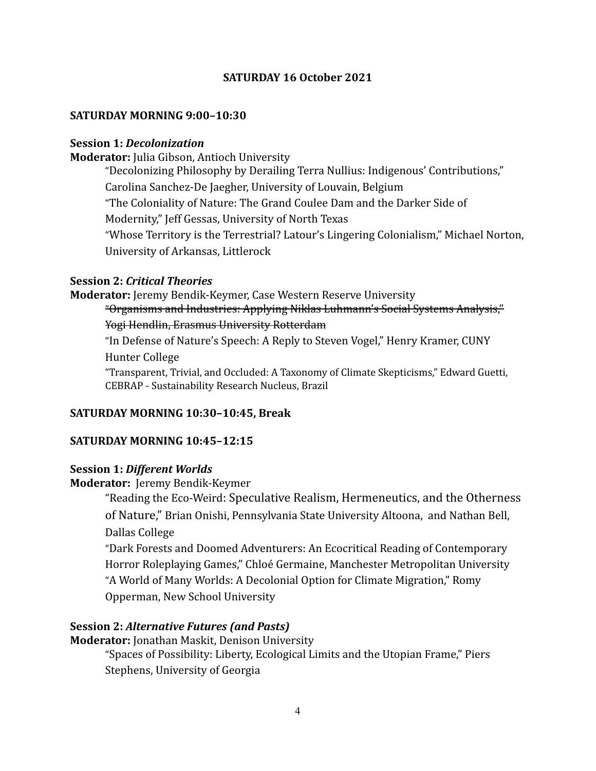## **SATURDAY 16 October 2021**

#### **SATURDAY MORNING 9:00–10:30**

#### **Session 1:** *Decolonization*

**Moderator:** Julia Gibson, Antioch University

"Decolonizing Philosophy by Derailing Terra Nullius: Indigenous' Contributions," Carolina Sanchez-De Jaegher, University of Louvain, Belgium "The Coloniality of Nature: The Grand Coulee Dam and the Darker Side of Modernity," Jeff Gessas, University of North Texas "Whose Territory is the Terrestrial? Latour's Lingering Colonialism," Michael Norton, University of Arkansas, Littlerock

## **Session 2:** *Critical Theories*

## **Moderator:** Jeremy Bendik-Keymer, Case Western Reserve University "Organisms and Industries: Applying Niklas Luhmann's Social Systems Analysis," Yogi Hendlin, Erasmus University Rotterdam

"In Defense of Nature's Speech: A Reply to Steven Vogel," Henry Kramer, CUNY Hunter College

"Transparent, Trivial, and Occluded: A Taxonomy of Climate Skepticisms," Edward Guetti, CEBRAP - Sustainability Research Nucleus, Brazil

## **SATURDAY MORNING 10:30–10:45, Break**

#### **SATURDAY MORNING 10:45–12:15**

## **Session 1:** *Different Worlds*

#### **Moderator:** Jeremy Bendik-Keymer

"Reading the Eco-Weird: Speculative Realism, Hermeneutics, and the Otherness of Nature," Brian Onishi, Pennsylvania State University Altoona, and Nathan Bell, Dallas College

"Dark Forests and Doomed Adventurers: An Ecocritical Reading of Contemporary Horror Roleplaying Games," Chloé Germaine, Manchester Metropolitan University "A World of Many Worlds: A Decolonial Option for Climate Migration," Romy Opperman, New School University

## **Session 2:** *Alternative Futures (and Pasts)*

**Moderator:** Jonathan Maskit, Denison University "Spaces of Possibility: Liberty, Ecological Limits and the Utopian Frame," Piers Stephens, University of Georgia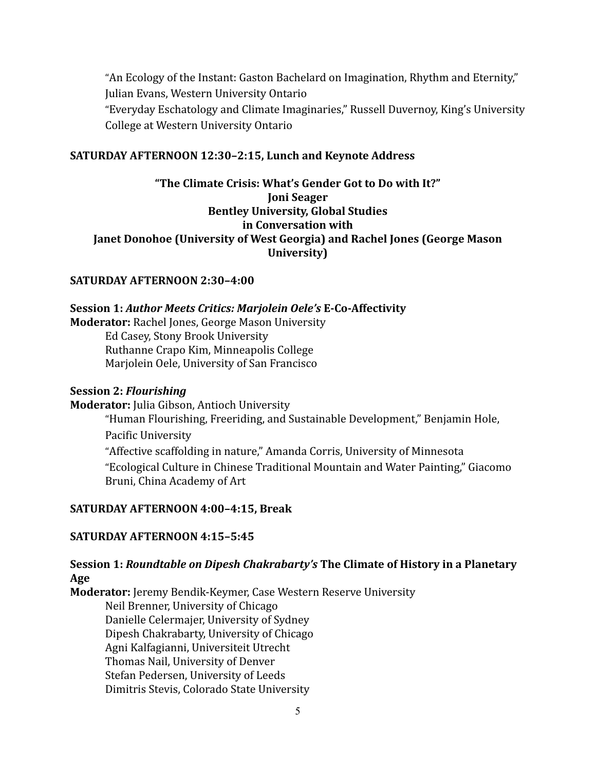"An Ecology of the Instant: Gaston Bachelard on Imagination, Rhythm and Eternity," Julian Evans, Western University Ontario "Everyday Eschatology and Climate Imaginaries," Russell Duvernoy, King's University College at Western University Ontario

## **SATURDAY AFTERNOON 12:30–2:15, Lunch and Keynote Address**

**"The Climate Crisis: What's Gender Got to Do with It?" Joni Seager Bentley University, Global Studies in Conversation with Janet Donohoe (University of West Georgia) and Rachel Jones (George Mason University)**

## **SATURDAY AFTERNOON 2:30–4:00**

#### **Session 1:** *Author Meets Critics: Marjolein Oele's* **E-Co-Affectivity**

**Moderator:** Rachel Jones, George Mason University

Ed Casey, Stony Brook University Ruthanne Crapo Kim, Minneapolis College Marjolein Oele, University of San Francisco

#### **Session 2:** *Flourishing*

**Moderator:** Julia Gibson, Antioch University

"Human Flourishing, Freeriding, and Sustainable Development," Benjamin Hole, Pacific University "Affective scaffolding in nature," Amanda Corris, University of Minnesota

"Ecological Culture in Chinese Traditional Mountain and Water Painting," Giacomo Bruni, China Academy of Art

## **SATURDAY AFTERNOON 4:00–4:15, Break**

## **SATURDAY AFTERNOON 4:15–5:45**

## **Session 1:** *Roundtable on Dipesh Chakrabarty's* **The Climate of History in a Planetary Age**

**Moderator:** Jeremy Bendik-Keymer, Case Western Reserve University Neil Brenner, University of Chicago Danielle Celermajer, University of Sydney Dipesh Chakrabarty, University of Chicago Agni Kalfagianni, Universiteit Utrecht Thomas Nail, University of Denver Stefan Pedersen, University of Leeds Dimitris Stevis, Colorado State University